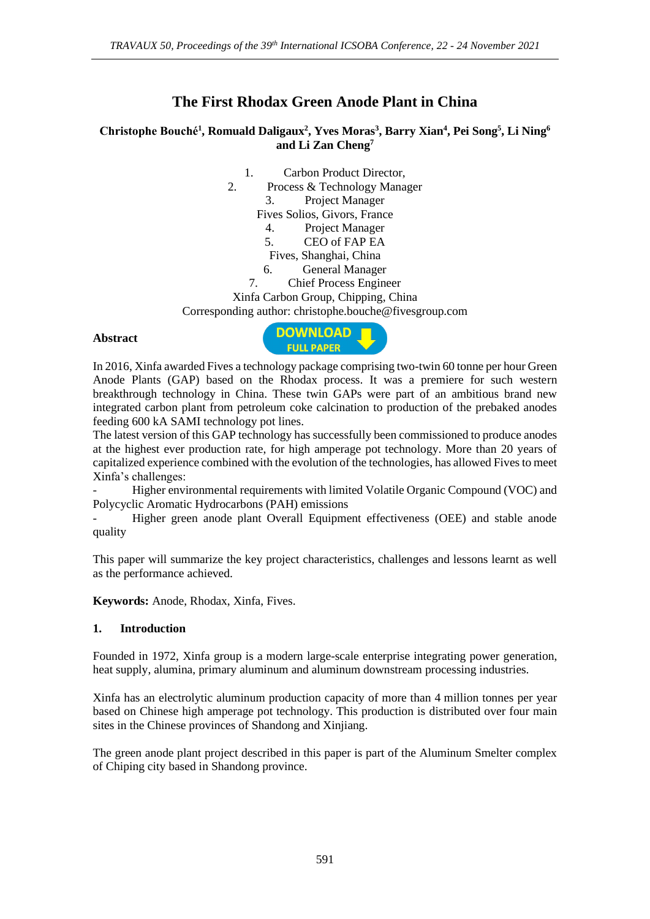# **The First Rhodax Green Anode Plant in China**

# **Christophe Bouché<sup>1</sup> , Romuald Daligaux<sup>2</sup> , Yves Moras<sup>3</sup> , Barry Xian<sup>4</sup> , Pei Song<sup>5</sup> , Li Ning<sup>6</sup> and Li Zan Cheng<sup>7</sup>**

- 1. Carbon Product Director,
- 2. Process & Technology Manager
	- 3. Project Manager

Fives Solios, Givors, France

- 4. Project Manager
- 5. CEO of FAP EA
- Fives, Shanghai, China
- 6. General Manager
- 7. Chief Process Engineer

#### Xinfa Carbon Group, Chipping, China

Corresponding author: christophe.bouche@fivesgroup.com

#### **Abstract**



In 2016, Xinfa awarded Fives a technology package comprising two-twin 60 tonne per hour Green Anode Plants (GAP) based on the Rhodax process. It was a premiere for such western breakthrough technology in China. These twin GAPs were part of an ambitious brand new integrated carbon plant from petroleum coke calcination to production of the prebaked anodes feeding 600 kA SAMI technology pot lines.

The latest version of this GAP technology has successfully been commissioned to produce anodes at the highest ever production rate, for high amperage pot technology. More than 20 years of capitalized experience combined with the evolution of the technologies, has allowed Fives to meet Xinfa's challenges:

- Higher environmental requirements with limited Volatile Organic Compound (VOC) and Polycyclic Aromatic Hydrocarbons (PAH) emissions

- Higher green anode plant Overall Equipment effectiveness (OEE) and stable anode quality

This paper will summarize the key project characteristics, challenges and lessons learnt as well as the performance achieved.

**Keywords:** Anode, Rhodax, Xinfa, Fives.

### **1. Introduction**

Founded in 1972, Xinfa group is a modern large-scale enterprise integrating power generation, heat supply, alumina, primary aluminum and aluminum downstream processing industries.

Xinfa has an electrolytic aluminum production capacity of more than 4 million tonnes per year based on Chinese high amperage pot technology. This production is distributed over four main sites in the Chinese provinces of Shandong and Xinjiang.

The green anode plant project described in this paper is part of the Aluminum Smelter complex of Chiping city based in Shandong province.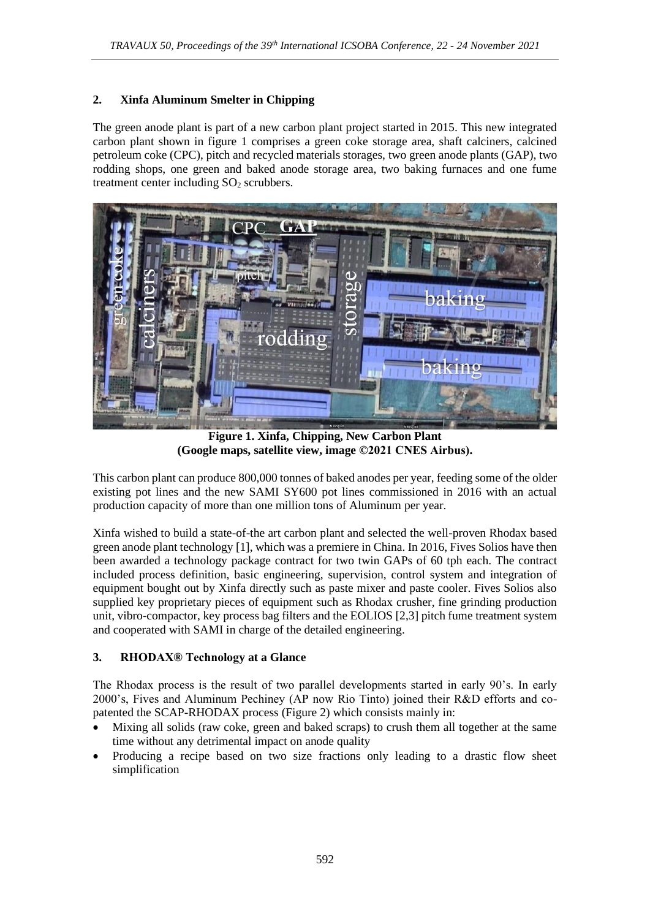## **2. Xinfa Aluminum Smelter in Chipping**

The green anode plant is part of a new carbon plant project started in 2015. This new integrated carbon plant shown in figure 1 comprises a green coke storage area, shaft calciners, calcined petroleum coke (CPC), pitch and recycled materials storages, two green anode plants (GAP), two rodding shops, one green and baked anode storage area, two baking furnaces and one fume treatment center including  $SO<sub>2</sub>$  scrubbers.



**Figure 1. Xinfa, Chipping, New Carbon Plant (Google maps, satellite view, image ©2021 CNES Airbus).**

This carbon plant can produce 800,000 tonnes of baked anodes per year, feeding some of the older existing pot lines and the new SAMI SY600 pot lines commissioned in 2016 with an actual production capacity of more than one million tons of Aluminum per year.

Xinfa wished to build a state-of-the art carbon plant and selected the well-proven Rhodax based green anode plant technology [1], which was a premiere in China. In 2016, Fives Solios have then been awarded a technology package contract for two twin GAPs of 60 tph each. The contract included process definition, basic engineering, supervision, control system and integration of equipment bought out by Xinfa directly such as paste mixer and paste cooler. Fives Solios also supplied key proprietary pieces of equipment such as Rhodax crusher, fine grinding production unit, vibro-compactor, key process bag filters and the EOLIOS [2,3] pitch fume treatment system and cooperated with SAMI in charge of the detailed engineering.

### **3. RHODAX® Technology at a Glance**

The Rhodax process is the result of two parallel developments started in early 90's. In early 2000's, Fives and Aluminum Pechiney (AP now Rio Tinto) joined their R&D efforts and copatented the SCAP-RHODAX process (Figure 2) which consists mainly in:

- Mixing all solids (raw coke, green and baked scraps) to crush them all together at the same time without any detrimental impact on anode quality
- Producing a recipe based on two size fractions only leading to a drastic flow sheet simplification